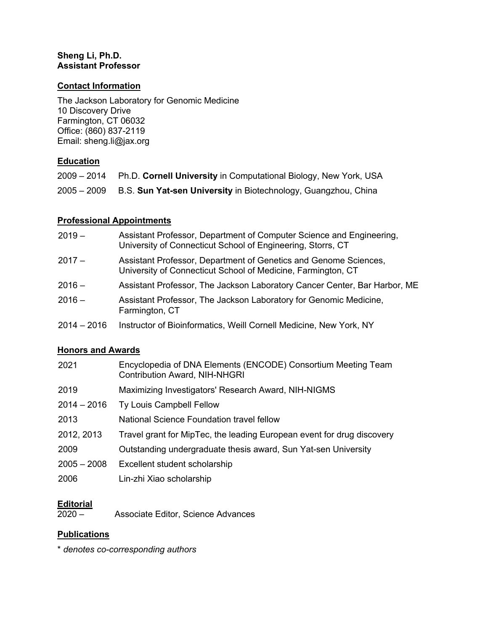## **Sheng Li, Ph.D. Assistant Professor**

## **Contact Information**

The Jackson Laboratory for Genomic Medicine 10 Discovery Drive Farmington, CT 06032 Office: (860) 837-2119 Email: sheng.li@jax.org

# **Education**

|             | 2009 – 2014 Ph.D. Cornell University in Computational Biology, New York, USA |
|-------------|------------------------------------------------------------------------------|
| 2005 – 2009 | B.S. Sun Yat-sen University in Biotechnology, Guangzhou, China               |

# **Professional Appointments**

| $2019 -$    | Assistant Professor, Department of Computer Science and Engineering,<br>University of Connecticut School of Engineering, Storrs, CT |
|-------------|-------------------------------------------------------------------------------------------------------------------------------------|
| $2017 -$    | Assistant Professor, Department of Genetics and Genome Sciences,<br>University of Connecticut School of Medicine, Farmington, CT    |
| $2016 -$    | Assistant Professor, The Jackson Laboratory Cancer Center, Bar Harbor, ME                                                           |
| 2016 –      | Assistant Professor, The Jackson Laboratory for Genomic Medicine,<br>Farmington, CT                                                 |
| 2014 – 2016 | Instructor of Bioinformatics, Weill Cornell Medicine, New York, NY                                                                  |

## **Honors and Awards**

| 2021          | Encyclopedia of DNA Elements (ENCODE) Consortium Meeting Team<br><b>Contribution Award, NIH-NHGRI</b> |
|---------------|-------------------------------------------------------------------------------------------------------|
| 2019          | Maximizing Investigators' Research Award, NIH-NIGMS                                                   |
| $2014 - 2016$ | <b>Ty Louis Campbell Fellow</b>                                                                       |
| 2013          | National Science Foundation travel fellow                                                             |
| 2012, 2013    | Travel grant for MipTec, the leading European event for drug discovery                                |
| 2009          | Outstanding undergraduate thesis award, Sun Yat-sen University                                        |
| $2005 - 2008$ | Excellent student scholarship                                                                         |
| 2006          | Lin-zhi Xiao scholarship                                                                              |

# **Editorial**<br>2020 -

Associate Editor, Science Advances

# **Publications**

\* *denotes co-corresponding authors*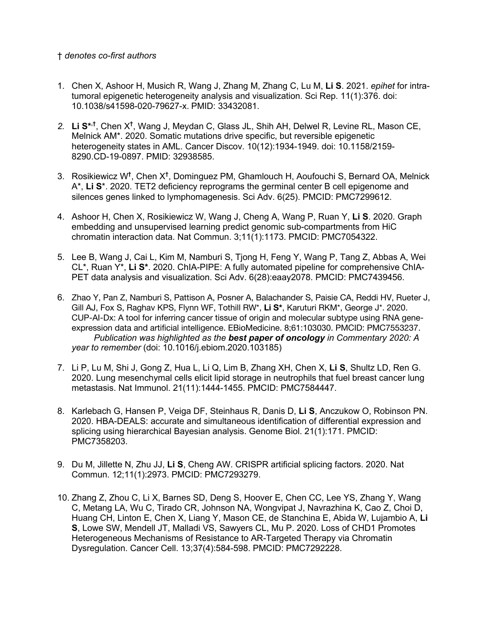#### † *denotes co-first authors*

- 1. Chen X, Ashoor H, Musich R, Wang J, Zhang M, Zhang C, Lu M, **Li S**. 2021. *epihet* for intratumoral epigenetic heterogeneity analysis and visualization. Sci Rep. 11(1):376. doi: 10.1038/s41598-020-79627-x. PMID: 33432081.
- 2. Li S<sup>\*,†</sup>, Chen X<sup>†</sup>, Wang J, Meydan C, Glass JL, Shih AH, Delwel R, Levine RL, Mason CE, Melnick AM\*. 2020. Somatic mutations drive specific, but reversible epigenetic heterogeneity states in AML. Cancer Discov. 10(12):1934-1949. doi: 10.1158/2159- 8290.CD-19-0897. PMID: 32938585.
- 3. Rosikiewicz W**†** , Chen X**†** , Dominguez PM, Ghamlouch H, Aoufouchi S, Bernard OA, Melnick A\*, **Li S**\*. 2020. TET2 deficiency reprograms the germinal center B cell epigenome and silences genes linked to lymphomagenesis. Sci Adv. 6(25). PMCID: PMC7299612.
- 4. Ashoor H, Chen X, Rosikiewicz W, Wang J, Cheng A, Wang P, Ruan Y, **Li S**. 2020. Graph embedding and unsupervised learning predict genomic sub-compartments from HiC chromatin interaction data. Nat Commun. 3;11(1):1173. PMCID: PMC7054322.
- 5. Lee B, Wang J, Cai L, Kim M, Namburi S, Tjong H, Feng Y, Wang P, Tang Z, Abbas A, Wei CL\*, Ruan Y\*, **Li S\***. 2020. ChIA-PIPE: A fully automated pipeline for comprehensive ChIA-PET data analysis and visualization. Sci Adv. 6(28):eaay2078. PMCID: PMC7439456.
- 6. Zhao Y, Pan Z, Namburi S, Pattison A, Posner A, Balachander S, Paisie CA, Reddi HV, Rueter J, Gill AJ, Fox S, Raghav KPS, Flynn WF, Tothill RW\*, **Li S\***, Karuturi RKM\*, George J\*. 2020. CUP-AI-Dx: A tool for inferring cancer tissue of origin and molecular subtype using RNA geneexpression data and artificial intelligence. EBioMedicine. 8;61:103030. PMCID: PMC7553237. *Publication was highlighted as the best paper of oncology in Commentary 2020: A year to remember* (doi: 10.1016/j.ebiom.2020.103185)
- 7. Li P, Lu M, Shi J, Gong Z, Hua L, Li Q, Lim B, Zhang XH, Chen X, **Li S**, Shultz LD, Ren G. 2020. Lung mesenchymal cells elicit lipid storage in neutrophils that fuel breast cancer lung metastasis. Nat Immunol. 21(11):1444-1455. PMCID: PMC7584447.
- 8. Karlebach G, Hansen P, Veiga DF, Steinhaus R, Danis D, **Li S**, Anczukow O, Robinson PN. 2020. HBA-DEALS: accurate and simultaneous identification of differential expression and splicing using hierarchical Bayesian analysis. Genome Biol. 21(1):171. PMCID: PMC7358203.
- 9. Du M, Jillette N, Zhu JJ, **Li S**, Cheng AW. CRISPR artificial splicing factors. 2020. Nat Commun. 12;11(1):2973. PMCID: PMC7293279.
- 10. Zhang Z, Zhou C, Li X, Barnes SD, Deng S, Hoover E, Chen CC, Lee YS, Zhang Y, Wang C, Metang LA, Wu C, Tirado CR, Johnson NA, Wongvipat J, Navrazhina K, Cao Z, Choi D, Huang CH, Linton E, Chen X, Liang Y, Mason CE, de Stanchina E, Abida W, Lujambio A, **Li S**, Lowe SW, Mendell JT, Malladi VS, Sawyers CL, Mu P. 2020. Loss of CHD1 Promotes Heterogeneous Mechanisms of Resistance to AR-Targeted Therapy via Chromatin Dysregulation. Cancer Cell. 13;37(4):584-598. PMCID: PMC7292228.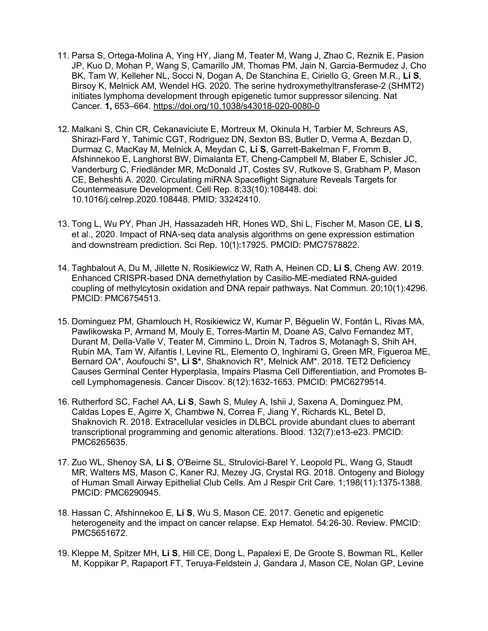- 11. Parsa S, Ortega-Molina A, Ying HY, Jiang M, Teater M, Wang J, Zhao C, Reznik E, Pasion JP, Kuo D, Mohan P, Wang S, Camarillo JM, Thomas PM, Jain N, Garcia-Bermudez J, Cho BK, Tam W, Kelleher NL, Socci N, Dogan A, De Stanchina E, Ciriello G, Green M.R., **Li S**, Birsoy K, Melnick AM, Wendel HG. 2020. The serine hydroxymethyltransferase-2 (SHMT2) initiates lymphoma development through epigenetic tumor suppressor silencing. Nat Cancer*.* **1,** 653–664. https://doi.org/10.1038/s43018-020-0080-0
- 12. Malkani S, Chin CR, Cekanaviciute E, Mortreux M, Okinula H, Tarbier M, Schreurs AS, Shirazi-Fard Y, Tahimic CGT, Rodriguez DN, Sexton BS, Butler D, Verma A, Bezdan D, Durmaz C, MacKay M, Melnick A, Meydan C, **Li S**, Garrett-Bakelman F, Fromm B, Afshinnekoo E, Langhorst BW, Dimalanta ET, Cheng-Campbell M, Blaber E, Schisler JC, Vanderburg C, Friedländer MR, McDonald JT, Costes SV, Rutkove S, Grabham P, Mason CE, Beheshti A. 2020. Circulating miRNA Spaceflight Signature Reveals Targets for Countermeasure Development. Cell Rep. 8;33(10):108448. doi: 10.1016/j.celrep.2020.108448. PMID: 33242410.
- 13. Tong L, Wu PY, Phan JH, Hassazadeh HR, Hones WD, Shi L, Fischer M, Mason CE, **Li S**, et al., 2020. Impact of RNA-seq data analysis algorithms on gene expression estimation and downstream prediction. Sci Rep. 10(1):17925. PMCID: PMC7578822.
- 14. Taghbalout A, Du M, Jillette N, Rosikiewicz W, Rath A, Heinen CD, **Li S**, Cheng AW. 2019. Enhanced CRISPR-based DNA demethylation by Casilio-ME-mediated RNA-guided coupling of methylcytosin oxidation and DNA repair pathways. Nat Commun. 20;10(1):4296. PMCID: PMC6754513.
- 15. Dominguez PM, Ghamlouch H, Rosikiewicz W, Kumar P, Béguelin W, Fontán L, Rivas MA, Pawlikowska P, Armand M, Mouly E, Torres-Martin M, Doane AS, Calvo Fernandez MT, Durant M, Della-Valle V, Teater M, Cimmino L, Droin N, Tadros S, Motanagh S, Shih AH, Rubin MA, Tam W, Aifantis I, Levine RL, Elemento O, Inghirami G, Green MR, Figueroa ME, Bernard OA\*, Aoufouchi S\*, **Li S\***, Shaknovich R\*, Melnick AM\*. 2018. TET2 Deficiency Causes Germinal Center Hyperplasia, Impairs Plasma Cell Differentiation, and Promotes Bcell Lymphomagenesis. Cancer Discov. 8(12):1632-1653. PMCID: PMC6279514.
- 16. Rutherford SC, Fachel AA, **Li S**, Sawh S, Muley A, Ishii J, Saxena A, Dominguez PM, Caldas Lopes E, Agirre X, Chambwe N, Correa F, Jiang Y, Richards KL, Betel D, Shaknovich R. 2018. Extracellular vesicles in DLBCL provide abundant clues to aberrant transcriptional programming and genomic alterations. Blood. 132(7):e13-e23. PMCID: PMC6265635.
- 17. Zuo WL, Shenoy SA, **Li S**, O'Beirne SL, Strulovici-Barel Y, Leopold PL, Wang G, Staudt MR, Walters MS, Mason C, Kaner RJ, Mezey JG, Crystal RG. 2018. Ontogeny and Biology of Human Small Airway Epithelial Club Cells. Am J Respir Crit Care. 1;198(11):1375-1388. PMCID: PMC6290945.
- 18. Hassan C, Afshinnekoo E, **Li S**, Wu S, Mason CE. 2017. Genetic and epigenetic heterogeneity and the impact on cancer relapse. Exp Hematol. 54:26-30. Review. PMCID: PMC5651672.
- 19. Kleppe M, Spitzer MH, **Li S**, Hill CE, Dong L, Papalexi E, De Groote S, Bowman RL, Keller M, Koppikar P, Rapaport FT, Teruya-Feldstein J, Gandara J, Mason CE, Nolan GP, Levine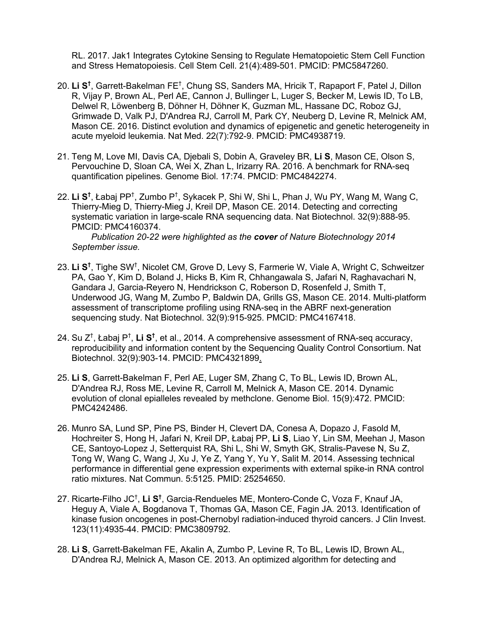RL. 2017. Jak1 Integrates Cytokine Sensing to Regulate Hematopoietic Stem Cell Function and Stress Hematopoiesis. Cell Stem Cell. 21(4):489-501. PMCID: PMC5847260.

- 20. **Li S†** , Garrett-Bakelman FE† , Chung SS, Sanders MA, Hricik T, Rapaport F, Patel J, Dillon R, Vijay P, Brown AL, Perl AE, Cannon J, Bullinger L, Luger S, Becker M, Lewis ID, To LB, Delwel R, Löwenberg B, Döhner H, Döhner K, Guzman ML, Hassane DC, Roboz GJ, Grimwade D, Valk PJ, D'Andrea RJ, Carroll M, Park CY, Neuberg D, Levine R, Melnick AM, Mason CE. 2016. Distinct evolution and dynamics of epigenetic and genetic heterogeneity in acute myeloid leukemia. Nat Med. 22(7):792-9. PMCID: PMC4938719.
- 21. Teng M, Love MI, Davis CA, Djebali S, Dobin A, Graveley BR, **Li S**, Mason CE, Olson S, Pervouchine D, Sloan CA, Wei X, Zhan L, Irizarry RA. 2016. A benchmark for RNA-seq quantification pipelines. Genome Biol. 17:74. PMCID: PMC4842274.
- 22. Li S<sup>t</sup>, Łabaj PP<sup>†</sup>, Zumbo P<sup>†</sup>, Sykacek P, Shi W, Shi L, Phan J, Wu PY, Wang M, Wang C, Thierry-Mieg D, Thierry-Mieg J, Kreil DP, Mason CE. 2014. Detecting and correcting systematic variation in large-scale RNA sequencing data. Nat Biotechnol. 32(9):888-95. PMCID: PMC4160374.

 *Publication 20-22 were highlighted as the cover of Nature Biotechnology 2014 September issue.*

- 23. **Li S†** , Tighe SW† , Nicolet CM, Grove D, Levy S, Farmerie W, Viale A, Wright C, Schweitzer PA, Gao Y, Kim D, Boland J, Hicks B, Kim R, Chhangawala S, Jafari N, Raghavachari N, Gandara J, Garcia-Reyero N, Hendrickson C, Roberson D, Rosenfeld J, Smith T, Underwood JG, Wang M, Zumbo P, Baldwin DA, Grills GS, Mason CE. 2014. Multi-platform assessment of transcriptome profiling using RNA-seq in the ABRF next-generation sequencing study. Nat Biotechnol. 32(9):915-925. PMCID: PMC4167418.
- 24. Su Z† , Łabaj P† , **Li S†** , et al., 2014. A comprehensive assessment of RNA-seq accuracy, reproducibility and information content by the Sequencing Quality Control Consortium. Nat Biotechnol. 32(9):903-14. PMCID: PMC4321899.
- 25. **Li S**, Garrett-Bakelman F, Perl AE, Luger SM, Zhang C, To BL, Lewis ID, Brown AL, D'Andrea RJ, Ross ME, Levine R, Carroll M, Melnick A, Mason CE. 2014. Dynamic evolution of clonal epialleles revealed by methclone. Genome Biol. 15(9):472. PMCID: PMC4242486.
- 26. Munro SA, Lund SP, Pine PS, Binder H, Clevert DA, Conesa A, Dopazo J, Fasold M, Hochreiter S, Hong H, Jafari N, Kreil DP, Łabaj PP, **Li S**, Liao Y, Lin SM, Meehan J, Mason CE, Santoyo-Lopez J, Setterquist RA, Shi L, Shi W, Smyth GK, Stralis-Pavese N, Su Z, Tong W, Wang C, Wang J, Xu J, Ye Z, Yang Y, Yu Y, Salit M. 2014. Assessing technical performance in differential gene expression experiments with external spike-in RNA control ratio mixtures. Nat Commun. 5:5125. PMID: 25254650.
- 27. Ricarte-Filho JC† , **Li S†** , Garcia-Rendueles ME, Montero-Conde C, Voza F, Knauf JA, Heguy A, Viale A, Bogdanova T, Thomas GA, Mason CE, Fagin JA. 2013. Identification of kinase fusion oncogenes in post-Chernobyl radiation-induced thyroid cancers. J Clin Invest. 123(11):4935-44. PMCID: PMC3809792.
- 28. **Li S**, Garrett-Bakelman FE, Akalin A, Zumbo P, Levine R, To BL, Lewis ID, Brown AL, D'Andrea RJ, Melnick A, Mason CE. 2013. An optimized algorithm for detecting and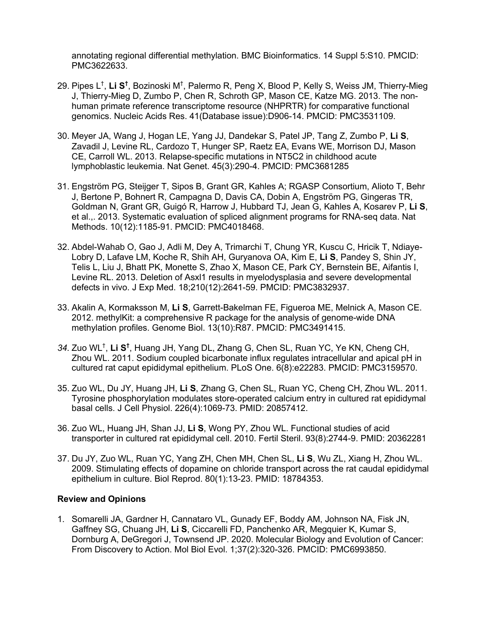annotating regional differential methylation. BMC Bioinformatics. 14 Suppl 5:S10. PMCID: PMC3622633.

- 29. Pipes L<sup>†</sup>, **Li S<sup>†</sup>, Bozinoski M<sup>†</sup>, Palermo R, Peng X, Blood P, Kelly S, Weiss JM, Thierry-Mieg** J, Thierry-Mieg D, Zumbo P, Chen R, Schroth GP, Mason CE, Katze MG. 2013. The nonhuman primate reference transcriptome resource (NHPRTR) for comparative functional genomics. Nucleic Acids Res. 41(Database issue):D906-14. PMCID: PMC3531109.
- 30. Meyer JA, Wang J, Hogan LE, Yang JJ, Dandekar S, Patel JP, Tang Z, Zumbo P, **Li S**, Zavadil J, Levine RL, Cardozo T, Hunger SP, Raetz EA, Evans WE, Morrison DJ, Mason CE, Carroll WL. 2013. Relapse-specific mutations in NT5C2 in childhood acute lymphoblastic leukemia. Nat Genet. 45(3):290-4. PMCID: PMC3681285
- 31. Engström PG, Steijger T, Sipos B, Grant GR, Kahles A; RGASP Consortium, Alioto T, Behr J, Bertone P, Bohnert R, Campagna D, Davis CA, Dobin A, Engström PG, Gingeras TR, Goldman N, Grant GR, Guigó R, Harrow J, Hubbard TJ, Jean G, Kahles A, Kosarev P, **Li S**, et al.,. 2013. Systematic evaluation of spliced alignment programs for RNA-seq data. Nat Methods. 10(12):1185-91. PMCID: PMC4018468.
- 32. Abdel-Wahab O, Gao J, Adli M, Dey A, Trimarchi T, Chung YR, Kuscu C, Hricik T, Ndiaye-Lobry D, Lafave LM, Koche R, Shih AH, Guryanova OA, Kim E, **Li S**, Pandey S, Shin JY, Telis L, Liu J, Bhatt PK, Monette S, Zhao X, Mason CE, Park CY, Bernstein BE, Aifantis I, Levine RL. 2013. Deletion of Asxl1 results in myelodysplasia and severe developmental defects in vivo. J Exp Med. 18;210(12):2641-59. PMCID: PMC3832937.
- 33. Akalin A, Kormaksson M, **Li S**, Garrett-Bakelman FE, Figueroa ME, Melnick A, Mason CE. 2012. methylKit: a comprehensive R package for the analysis of genome-wide DNA methylation profiles. Genome Biol. 13(10):R87. PMCID: PMC3491415.
- *34.* Zuo WL† , **Li S†** , Huang JH, Yang DL, Zhang G, Chen SL, Ruan YC, Ye KN, Cheng CH, Zhou WL. 2011. Sodium coupled bicarbonate influx regulates intracellular and apical pH in cultured rat caput epididymal epithelium. PLoS One. 6(8):e22283. PMCID: PMC3159570.
- 35. Zuo WL, Du JY, Huang JH, **Li S**, Zhang G, Chen SL, Ruan YC, Cheng CH, Zhou WL. 2011. Tyrosine phosphorylation modulates store-operated calcium entry in cultured rat epididymal basal cells. J Cell Physiol. 226(4):1069-73. PMID: 20857412.
- 36. Zuo WL, Huang JH, Shan JJ, **Li S**, Wong PY, Zhou WL. Functional studies of acid transporter in cultured rat epididymal cell. 2010. Fertil Steril. 93(8):2744-9. PMID: 20362281
- 37. Du JY, Zuo WL, Ruan YC, Yang ZH, Chen MH, Chen SL, **Li S**, Wu ZL, Xiang H, Zhou WL. 2009. Stimulating effects of dopamine on chloride transport across the rat caudal epididymal epithelium in culture. Biol Reprod. 80(1):13-23. PMID: 18784353.

## **Review and Opinions**

1. Somarelli JA, Gardner H, Cannataro VL, Gunady EF, Boddy AM, Johnson NA, Fisk JN, Gaffney SG, Chuang JH, **Li S**, Ciccarelli FD, Panchenko AR, Megquier K, Kumar S, Dornburg A, DeGregori J, Townsend JP. 2020. Molecular Biology and Evolution of Cancer: From Discovery to Action. Mol Biol Evol. 1;37(2):320-326. PMCID: PMC6993850.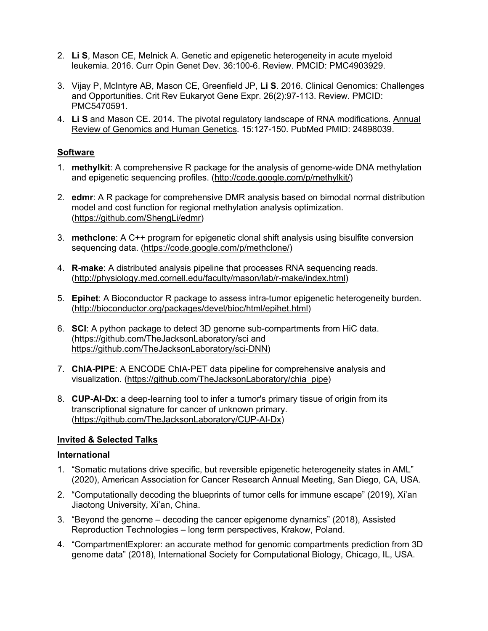- 2. **Li S**, Mason CE, Melnick A. Genetic and epigenetic heterogeneity in acute myeloid leukemia. 2016. Curr Opin Genet Dev. 36:100-6. Review. PMCID: PMC4903929.
- 3. Vijay P, McIntyre AB, Mason CE, Greenfield JP, **Li S**. 2016. Clinical Genomics: Challenges and Opportunities. Crit Rev Eukaryot Gene Expr. 26(2):97-113. Review. PMCID: PMC5470591.
- 4. **Li S** and Mason CE. 2014. The pivotal regulatory landscape of RNA modifications. Annual Review of Genomics and Human Genetics. 15:127-150. PubMed PMID: 24898039.

## **Software**

- 1. **methylkit**: A comprehensive R package for the analysis of genome-wide DNA methylation and epigenetic sequencing profiles. (http://code.google.com/p/methylkit/)
- 2. **edmr**: A R package for comprehensive DMR analysis based on bimodal normal distribution model and cost function for regional methylation analysis optimization. (https://github.com/ShengLi/edmr)
- 3. **methclone**: A C++ program for epigenetic clonal shift analysis using bisulfite conversion sequencing data. (https://code.google.com/p/methclone/)
- 4. **R-make**: A distributed analysis pipeline that processes RNA sequencing reads. (http://physiology.med.cornell.edu/faculty/mason/lab/r-make/index.html)
- 5. **Epihet**: A Bioconductor R package to assess intra-tumor epigenetic heterogeneity burden. (http://bioconductor.org/packages/devel/bioc/html/epihet.html)
- 6. **SCI**: A python package to detect 3D genome sub-compartments from HiC data. (https://github.com/TheJacksonLaboratory/sci and https://github.com/TheJacksonLaboratory/sci-DNN)
- 7. **ChIA-PIPE**: A ENCODE ChIA-PET data pipeline for comprehensive analysis and visualization. (https://github.com/TheJacksonLaboratory/chia\_pipe)
- 8. **CUP-AI-Dx**: a deep-learning tool to infer a tumor's primary tissue of origin from its transcriptional signature for cancer of unknown primary. (https://github.com/TheJacksonLaboratory/CUP-AI-Dx)

## **Invited & Selected Talks**

#### **International**

- 1. "Somatic mutations drive specific, but reversible epigenetic heterogeneity states in AML" (2020), American Association for Cancer Research Annual Meeting, San Diego, CA, USA.
- 2. "Computationally decoding the blueprints of tumor cells for immune escape" (2019), Xi'an Jiaotong University, Xi'an, China.
- 3. "Beyond the genome decoding the cancer epigenome dynamics" (2018), Assisted Reproduction Technologies – long term perspectives, Krakow, Poland.
- 4. "CompartmentExplorer: an accurate method for genomic compartments prediction from 3D genome data" (2018), International Society for Computational Biology, Chicago, IL, USA.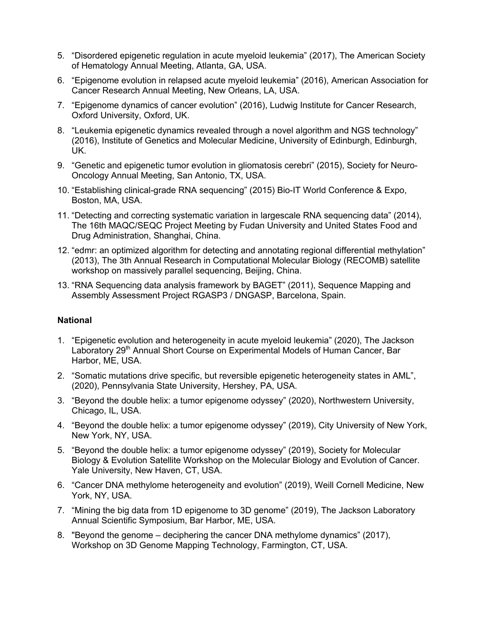- 5. "Disordered epigenetic regulation in acute myeloid leukemia" (2017), The American Society of Hematology Annual Meeting, Atlanta, GA, USA.
- 6. "Epigenome evolution in relapsed acute myeloid leukemia" (2016), American Association for Cancer Research Annual Meeting, New Orleans, LA, USA.
- 7. "Epigenome dynamics of cancer evolution" (2016), Ludwig Institute for Cancer Research, Oxford University, Oxford, UK.
- 8. "Leukemia epigenetic dynamics revealed through a novel algorithm and NGS technology" (2016), Institute of Genetics and Molecular Medicine, University of Edinburgh, Edinburgh, UK.
- 9. "Genetic and epigenetic tumor evolution in gliomatosis cerebri" (2015), Society for Neuro-Oncology Annual Meeting, San Antonio, TX, USA.
- 10. "Establishing clinical-grade RNA sequencing" (2015) Bio-IT World Conference & Expo, Boston, MA, USA.
- 11. "Detecting and correcting systematic variation in largescale RNA sequencing data" (2014), The 16th MAQC/SEQC Project Meeting by Fudan University and United States Food and Drug Administration, Shanghai, China.
- 12. "edmr: an optimized algorithm for detecting and annotating regional differential methylation" (2013), The 3th Annual Research in Computational Molecular Biology (RECOMB) satellite workshop on massively parallel sequencing, Beijing, China.
- 13. "RNA Sequencing data analysis framework by BAGET" (2011), Sequence Mapping and Assembly Assessment Project RGASP3 / DNGASP, Barcelona, Spain.

#### **National**

- 1. "Epigenetic evolution and heterogeneity in acute myeloid leukemia" (2020), The Jackson Laboratory 29<sup>th</sup> Annual Short Course on Experimental Models of Human Cancer, Bar Harbor, ME, USA.
- 2. "Somatic mutations drive specific, but reversible epigenetic heterogeneity states in AML", (2020), Pennsylvania State University, Hershey, PA, USA.
- 3. "Beyond the double helix: a tumor epigenome odyssey" (2020), Northwestern University, Chicago, IL, USA.
- 4. "Beyond the double helix: a tumor epigenome odyssey" (2019), City University of New York, New York, NY, USA.
- 5. "Beyond the double helix: a tumor epigenome odyssey" (2019), Society for Molecular Biology & Evolution Satellite Workshop on the Molecular Biology and Evolution of Cancer. Yale University, New Haven, CT, USA.
- 6. "Cancer DNA methylome heterogeneity and evolution" (2019), Weill Cornell Medicine, New York, NY, USA.
- 7. "Mining the big data from 1D epigenome to 3D genome" (2019), The Jackson Laboratory Annual Scientific Symposium, Bar Harbor, ME, USA.
- 8. "Beyond the genome deciphering the cancer DNA methylome dynamics" (2017), Workshop on 3D Genome Mapping Technology, Farmington, CT, USA.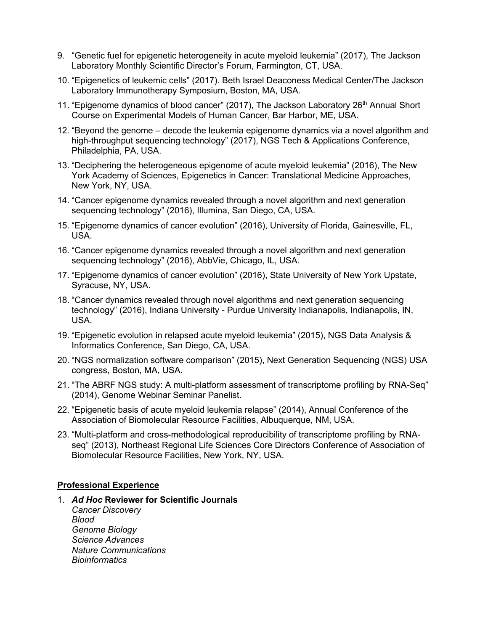- 9. "Genetic fuel for epigenetic heterogeneity in acute myeloid leukemia" (2017), The Jackson Laboratory Monthly Scientific Director's Forum, Farmington, CT, USA.
- 10. "Epigenetics of leukemic cells" (2017). Beth Israel Deaconess Medical Center/The Jackson Laboratory Immunotherapy Symposium, Boston, MA, USA.
- 11. "Epigenome dynamics of blood cancer" (2017), The Jackson Laboratory  $26<sup>th</sup>$  Annual Short Course on Experimental Models of Human Cancer, Bar Harbor, ME, USA.
- 12. "Beyond the genome decode the leukemia epigenome dynamics via a novel algorithm and high-throughput sequencing technology" (2017), NGS Tech & Applications Conference, Philadelphia, PA, USA.
- 13. "Deciphering the heterogeneous epigenome of acute myeloid leukemia" (2016), The New York Academy of Sciences, Epigenetics in Cancer: Translational Medicine Approaches, New York, NY, USA.
- 14. "Cancer epigenome dynamics revealed through a novel algorithm and next generation sequencing technology" (2016), Illumina, San Diego, CA, USA.
- 15. "Epigenome dynamics of cancer evolution" (2016), University of Florida, Gainesville, FL, USA.
- 16. "Cancer epigenome dynamics revealed through a novel algorithm and next generation sequencing technology" (2016), AbbVie, Chicago, IL, USA.
- 17. "Epigenome dynamics of cancer evolution" (2016), State University of New York Upstate, Syracuse, NY, USA.
- 18. "Cancer dynamics revealed through novel algorithms and next generation sequencing technology" (2016), Indiana University - Purdue University Indianapolis, Indianapolis, IN, USA.
- 19. "Epigenetic evolution in relapsed acute myeloid leukemia" (2015), NGS Data Analysis & Informatics Conference, San Diego, CA, USA.
- 20. "NGS normalization software comparison" (2015), Next Generation Sequencing (NGS) USA congress, Boston, MA, USA.
- 21. "The ABRF NGS study: A multi-platform assessment of transcriptome profiling by RNA-Seq" (2014), Genome Webinar Seminar Panelist.
- 22. "Epigenetic basis of acute myeloid leukemia relapse" (2014), Annual Conference of the Association of Biomolecular Resource Facilities, Albuquerque, NM, USA.
- 23. "Multi-platform and cross-methodological reproducibility of transcriptome profiling by RNAseq" (2013), Northeast Regional Life Sciences Core Directors Conference of Association of Biomolecular Resource Facilities, New York, NY, USA.

#### **Professional Experience**

1. *Ad Hoc* **Reviewer for Scientific Journals** *Cancer Discovery Blood Genome Biology Science Advances Nature Communications Bioinformatics*